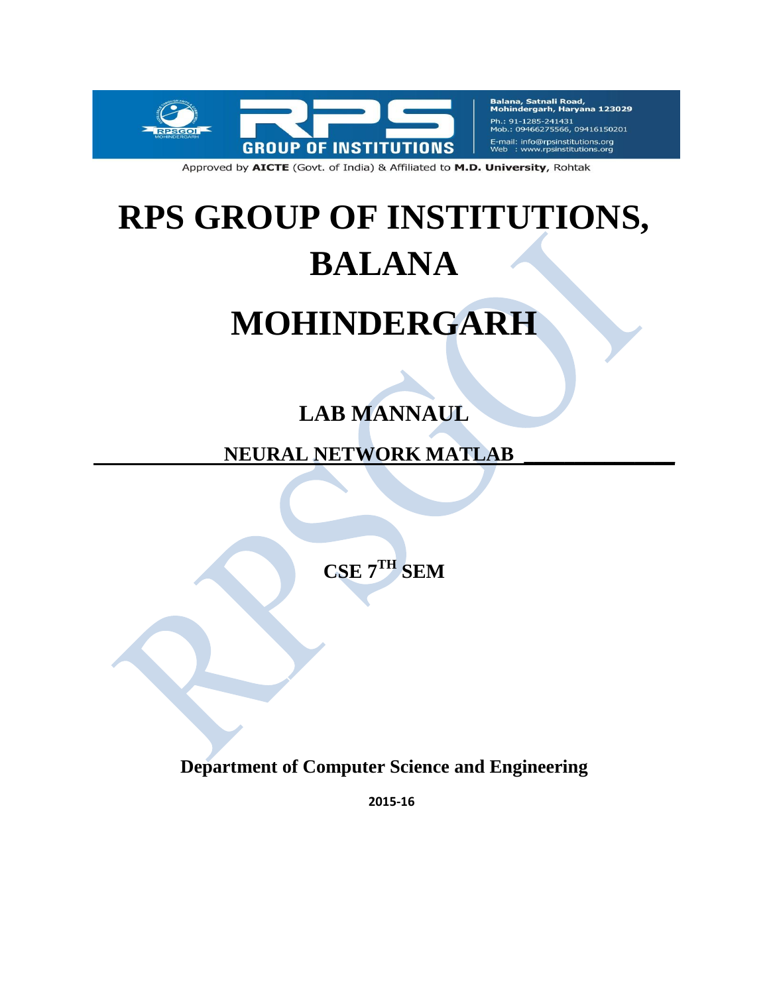

Balana, Satnali Road,<br>Mohindergarh, Haryana 123029 Ph.: 91-1285-241431 09466275566, 09416150201 E-mail: info@rpsinstitutions.org<br>Web : www.rpsinstitutions.org

Approved by AICTE (Govt. of India) & Affiliated to M.D. University, Rohtak

# **RPS GROUP OF INSTITUTIONS, BALANA**

## **MOHINDERGARH**

## **LAB MANNAUL**

 **NEURAL NETWORK MATLAB \_\_\_\_\_\_\_\_\_\_\_\_\_\_\_**

**CSE 7 TH SEM**

**Department of Computer Science and Engineering**

**2015-16**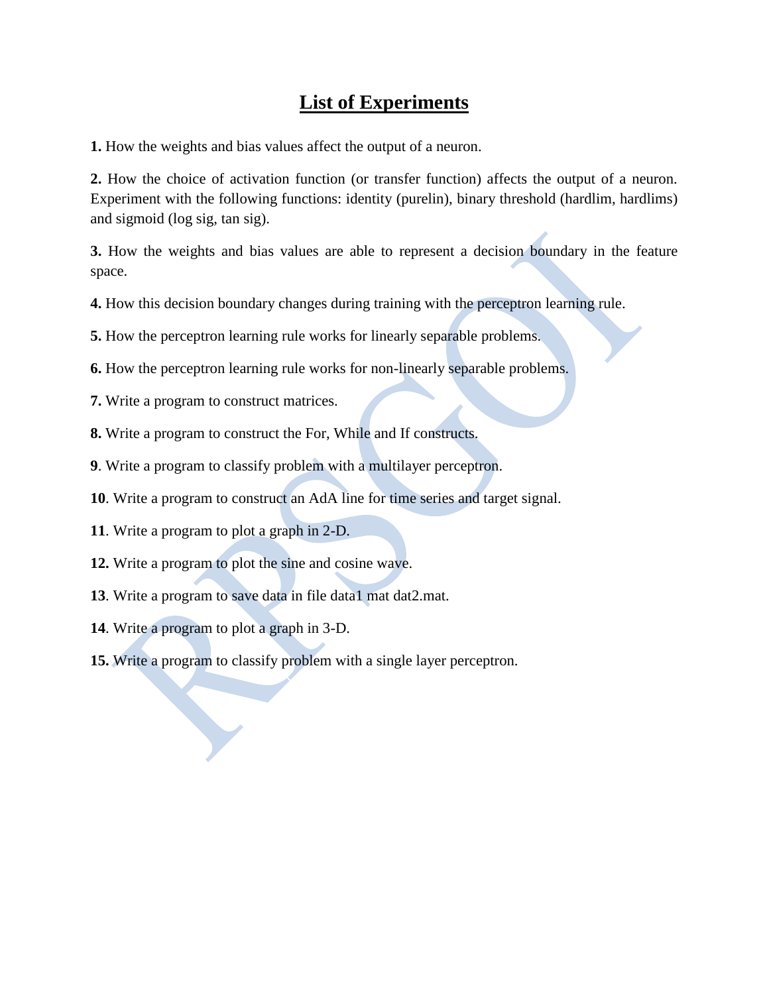## **List of Experiments**

**1.** How the weights and bias values affect the output of a neuron.

**2.** How the choice of activation function (or transfer function) affects the output of a neuron. Experiment with the following functions: identity (purelin), binary threshold (hardlim, hardlims) and sigmoid (log sig, tan sig).

**3.** How the weights and bias values are able to represent a decision boundary in the feature space.

**4.** How this decision boundary changes during training with the perceptron learning rule.

**5.** How the perceptron learning rule works for linearly separable problems.

- **6.** How the perceptron learning rule works for non-linearly separable problems.
- **7.** Write a program to construct matrices.
- **8.** Write a program to construct the For, While and If constructs.
- **9**. Write a program to classify problem with a multilayer perceptron.
- **10**. Write a program to construct an AdA line for time series and target signal.
- **11**. Write a program to plot a graph in 2-D.
- **12.** Write a program to plot the sine and cosine wave.
- **13**. Write a program to save data in file data1 mat dat2.mat.
- **14**. Write a program to plot a graph in 3-D.
- **15.** Write a program to classify problem with a single layer perceptron.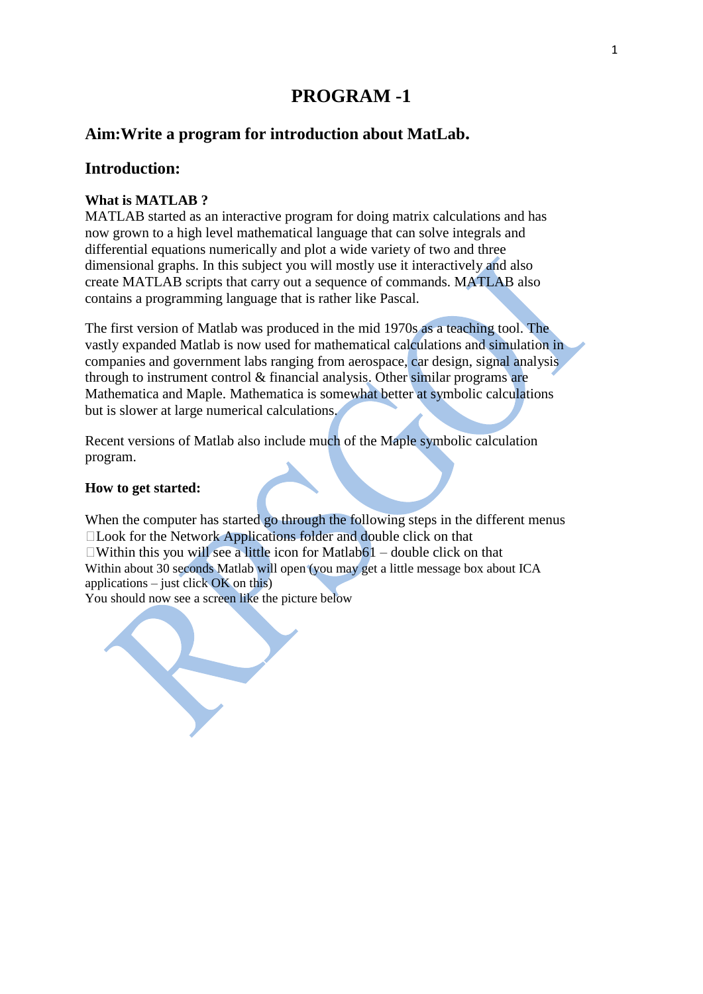#### **Aim:Write a program for introduction about MatLab.**

#### **Introduction:**

#### **What is MATLAB ?**

MATLAB started as an interactive program for doing matrix calculations and has now grown to a high level mathematical language that can solve integrals and differential equations numerically and plot a wide variety of two and three dimensional graphs. In this subject you will mostly use it interactively and also create MATLAB scripts that carry out a sequence of commands. MATLAB also contains a programming language that is rather like Pascal.

The first version of Matlab was produced in the mid 1970s as a teaching tool. The vastly expanded Matlab is now used for mathematical calculations and simulation in companies and government labs ranging from aerospace, car design, signal analysis through to instrument control & financial analysis. Other similar programs are Mathematica and Maple. Mathematica is somewhat better at symbolic calculations but is slower at large numerical calculations.

Recent versions of Matlab also include much of the Maple symbolic calculation program.

#### **How to get started:**

When the computer has started go through the following steps in the different menus Look for the Network Applications folder and double click on that  $\Box$ Within this you will see a little icon for Matlab61 – double click on that Within about 30 seconds Matlab will open (you may get a little message box about ICA applications – just click  $OK$  on this)

You should now see a screen like the picture below

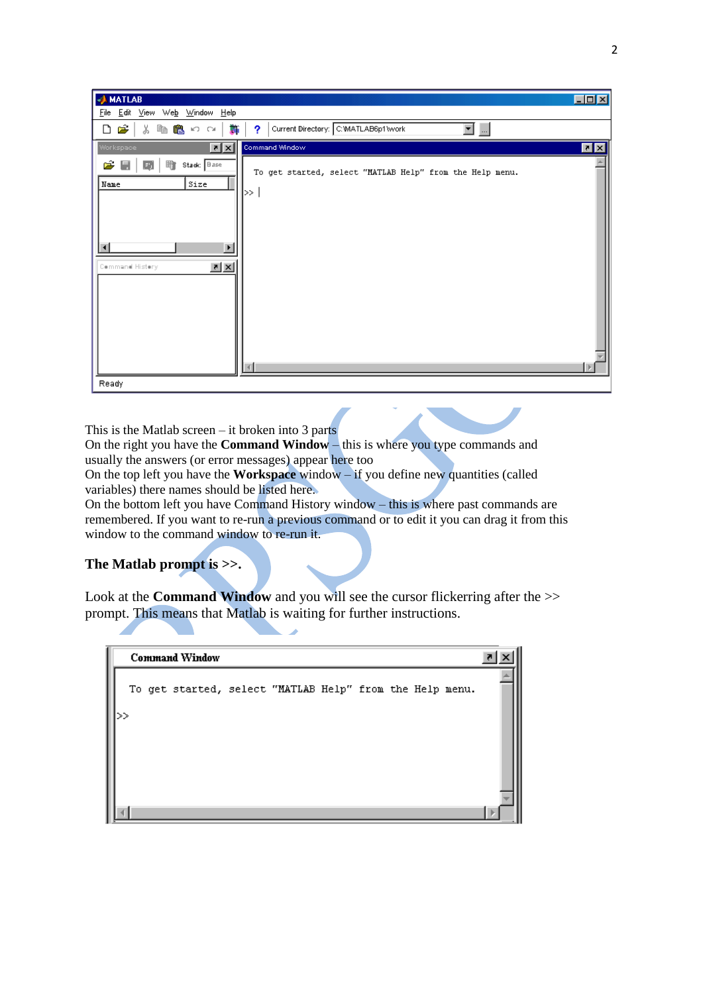| <b>AMATLAB</b>                                                                                                                                                                                | $\Box$ D $\boxtimes$ |
|-----------------------------------------------------------------------------------------------------------------------------------------------------------------------------------------------|----------------------|
| File Edit View Web Window Help                                                                                                                                                                |                      |
| $\blacksquare$<br>产<br>Current Directory: C:WATLAB6p1\work<br>るもものの<br>豑<br>?<br>ہ                                                                                                            |                      |
| Command Window<br>$\vert x \vert \times$<br>Workspace                                                                                                                                         | 回风                   |
| گ<br>Stack: Base<br>睮<br>H,<br>E)<br>To get started, select "MATLAB Help" from the Help menu.<br>Size<br>Name<br> ≫  <br>$\blacktriangleleft$<br>$\mathbf{z}$ $\mathbf{x}$<br>Command History |                      |
| Ready                                                                                                                                                                                         |                      |

This is the Matlab screen – it broken into 3 parts

On the right you have the **Command Window** – this is where you type commands and usually the answers (or error messages) appear here too

On the top left you have the **Workspace** window – if you define new quantities (called variables) there names should be listed here.

On the bottom left you have Command History window – this is where past commands are remembered. If you want to re-run a previous command or to edit it you can drag it from this window to the command window to re-run it.

#### **The Matlab prompt is >>.**

Look at the **Command Window** and you will see the cursor flickerring after the >> prompt. This means that Matlab is waiting for further instructions.

|  |  | <b>Command Window</b>                                    |  |  |  |  |
|--|--|----------------------------------------------------------|--|--|--|--|
|  |  | To get started, select "MATLAB Help" from the Help menu. |  |  |  |  |
|  |  |                                                          |  |  |  |  |
|  |  |                                                          |  |  |  |  |
|  |  |                                                          |  |  |  |  |
|  |  |                                                          |  |  |  |  |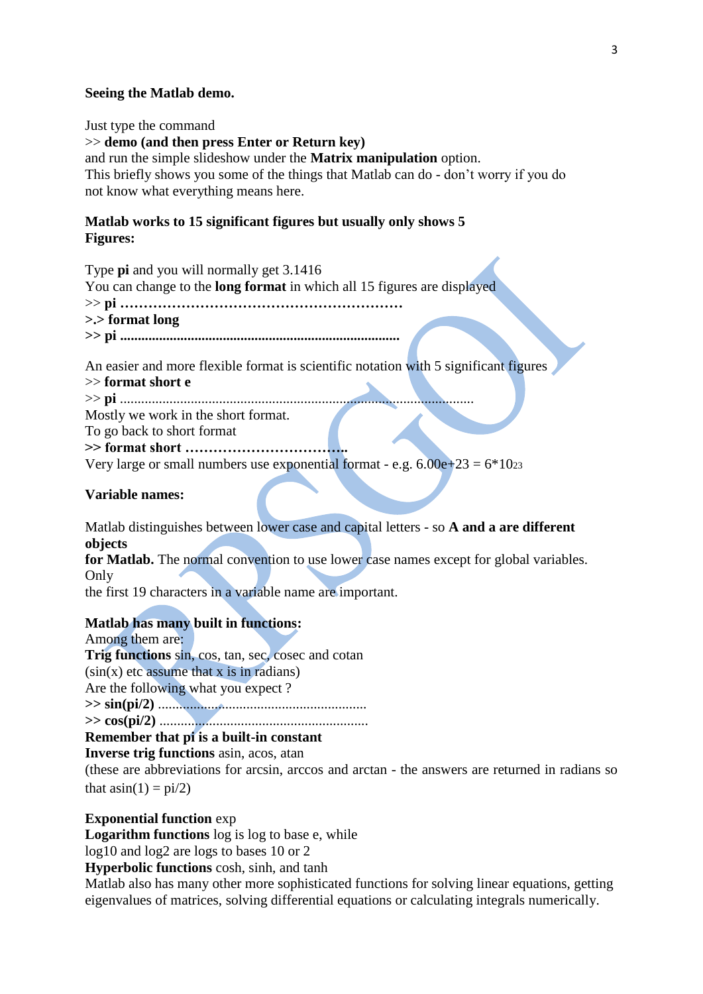#### **Seeing the Matlab demo.**

Just type the command >> **demo (and then press Enter or Return key)** and run the simple slideshow under the **Matrix manipulation** option. This briefly shows you some of the things that Matlab can do - don"t worry if you do not know what everything means here.

#### **Matlab works to 15 significant figures but usually only shows 5 Figures:**

Type **pi** and you will normally get 3.1416

You can change to the **long format** in which all 15 figures are displayed

>> **pi ……………………………………………………**

```
>.> format long
```
**>> pi ...............................................................................**

An easier and more flexible format is scientific notation with 5 significant figures

>> **format short e**

>> **pi** ....................................................................................................

Mostly we work in the short format.

To go back to short format

**>> format short ……………………………..**

Very large or small numbers use exponential format - e.g.  $6.00e+23 = 6*10z$ 

**Variable names:**

Matlab distinguishes between lower case and capital letters - so **A and a are different objects**

**for Matlab.** The normal convention to use lower case names except for global variables. Only

the first 19 characters in a variable name are important.

#### **Matlab has many built in functions:**

Among them are: **Trig functions** sin, cos, tan, sec, cosec and cotan  $(sin(x))$  etc assume that x is in radians) Are the following what you expect ? **>> sin(pi/2)** ...........................................................

**>> cos(pi/2)** ...........................................................

#### **Remember that pi is a built-in constant**

**Inverse trig functions** asin, acos, atan

(these are abbreviations for arcsin, arccos and arctan - the answers are returned in radians so that  $a\sin(1) = \pi i/2$ 

#### **Exponential function** exp

**Logarithm functions** log is log to base e, while

log10 and log2 are logs to bases 10 or 2

**Hyperbolic functions** cosh, sinh, and tanh

Matlab also has many other more sophisticated functions for solving linear equations, getting eigenvalues of matrices, solving differential equations or calculating integrals numerically.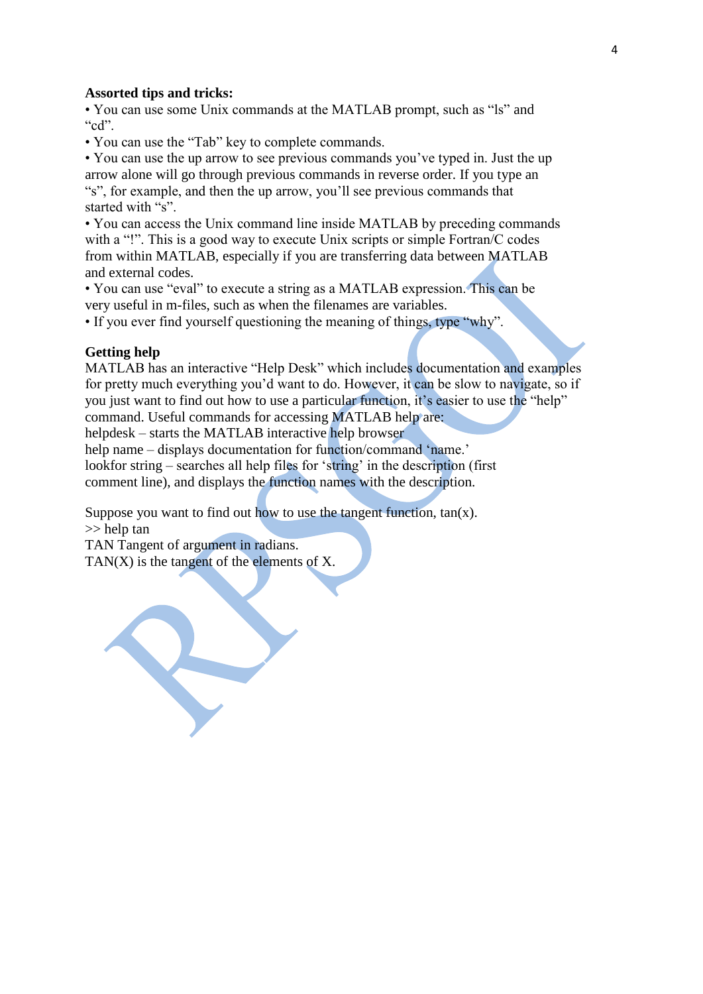#### **Assorted tips and tricks:**

• You can use some Unix commands at the MATLAB prompt, such as "ls" and "cd".

• You can use the "Tab" key to complete commands.

• You can use the up arrow to see previous commands you"ve typed in. Just the up arrow alone will go through previous commands in reverse order. If you type an "s", for example, and then the up arrow, you"ll see previous commands that started with "s"

• You can access the Unix command line inside MATLAB by preceding commands with a "!". This is a good way to execute Unix scripts or simple Fortran/C codes from within MATLAB, especially if you are transferring data between MATLAB and external codes.

• You can use "eval" to execute a string as a MATLAB expression. This can be very useful in m-files, such as when the filenames are variables.

• If you ever find yourself questioning the meaning of things, type "why".

#### **Getting help**

MATLAB has an interactive "Help Desk" which includes documentation and examples for pretty much everything you"d want to do. However, it can be slow to navigate, so if you just want to find out how to use a particular function, it's easier to use the "help" command. Useful commands for accessing MATLAB help are:

helpdesk – starts the MATLAB interactive help browser

help name – displays documentation for function/command 'name.'

lookfor string – searches all help files for 'string' in the description (first) comment line), and displays the function names with the description.

Suppose you want to find out how to use the tangent function,  $tan(x)$ .

>> help tan

TAN Tangent of argument in radians. TAN(X) is the tangent of the elements of X.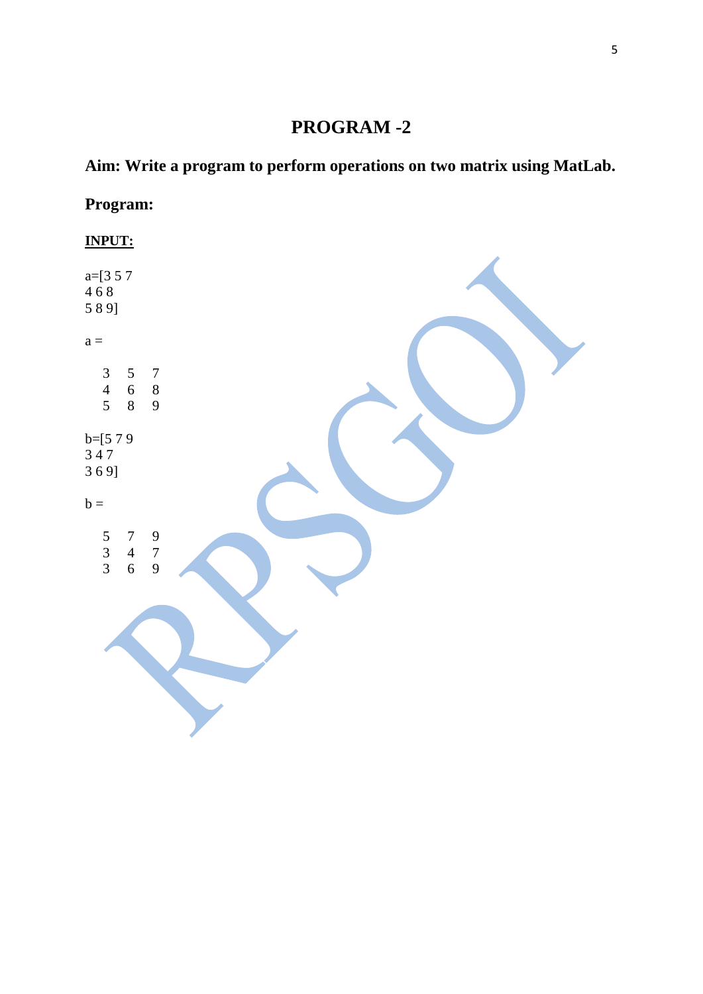## **Aim: Write a program to perform operations on two matrix using MatLab.**

## **Program:**

## **INPUT:**

| a= $[3 5 7$<br>468<br>589]                                                                             |  |
|--------------------------------------------------------------------------------------------------------|--|
| $a =$                                                                                                  |  |
| $\begin{array}{c} 3 \\ 4 \\ 5 \end{array}$<br>$\begin{array}{ccc} 5 & 7 \\ 6 & 8 \\ 8 & 9 \end{array}$ |  |
| b=[5 7 9<br>3 4 7<br>3 6 9]                                                                            |  |
| $b =$                                                                                                  |  |
| $\begin{array}{c} 5 \\ 3 \\ 3 \end{array}$<br>$\begin{array}{cc} 7 & 9 \\ 4 & 7 \\ 6 & 9 \end{array}$  |  |
|                                                                                                        |  |
|                                                                                                        |  |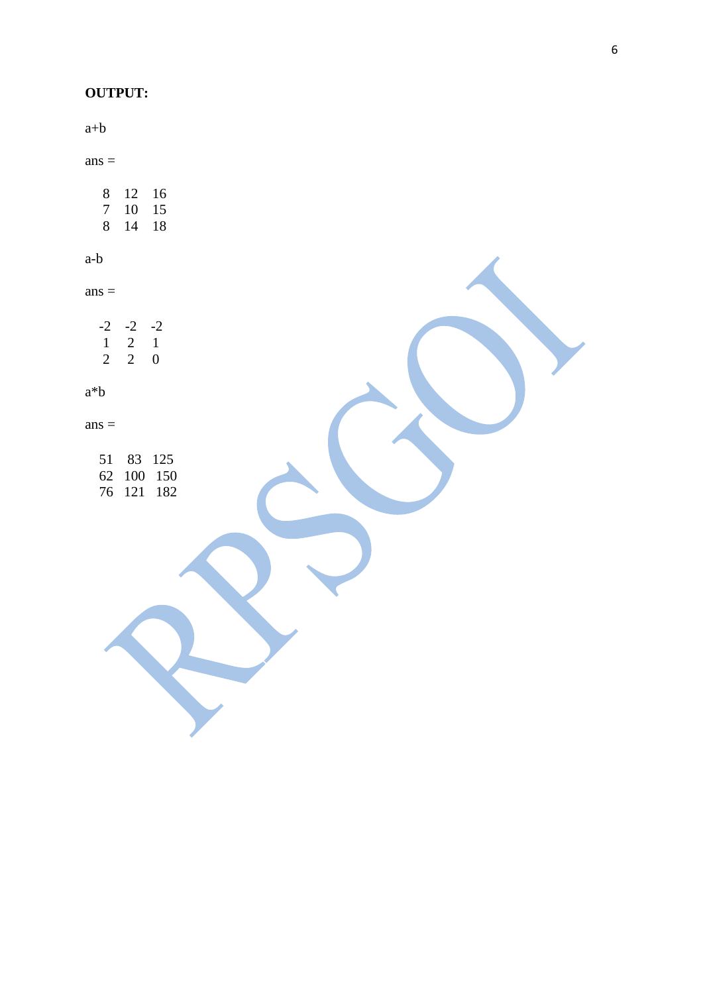#### **OUTPUT:**

a+b

 $ans =$ 

 8 12 16 7 10 15 8 14 18

a-b

 $ans =$ 

 $-2$   $-2$   $-2$  1 2 1 2 2 0

a\*b

 $ans =$ 

 51 83 125 62 100 150 76 121 182 6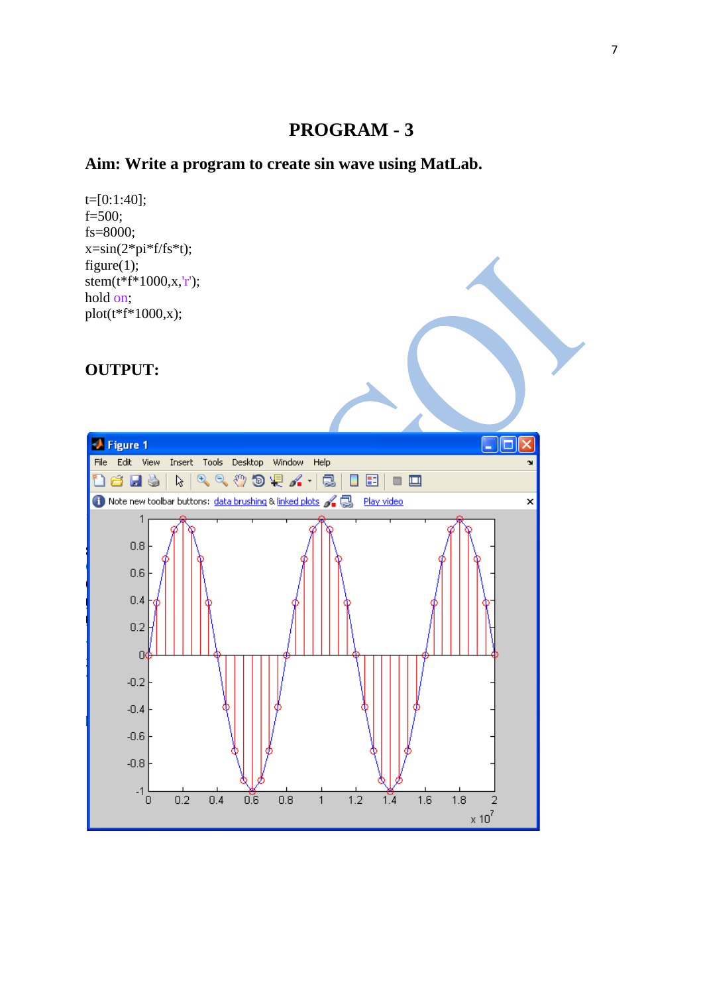#### **Aim: Write a program to create sin wave using MatLab.**

t=[0:1:40]; f=500; fs=8000;  $x=sin(2*pi*f/fs*t);$ figure $(1)$ ; stem( $t$ <sup>\* $f$ \*1000,x,'r');</sup> hold on; plot(t\*f\*1000,x);

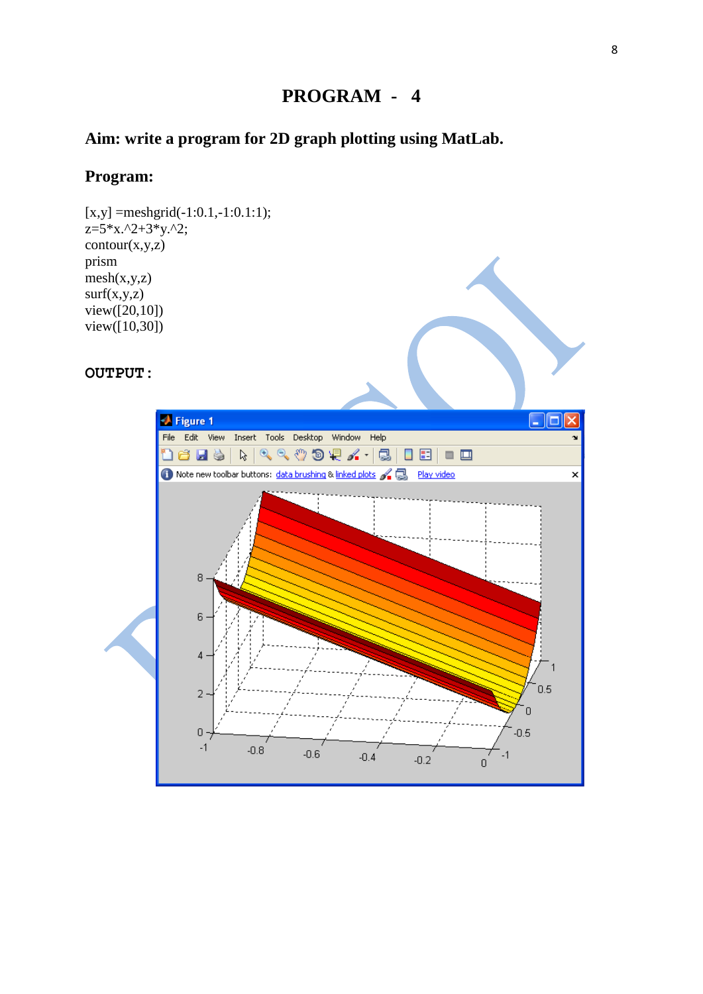#### **Aim: write a program for 2D graph plotting using MatLab.**

#### **Program:**

 $[x,y] = meshgrid(-1:0.1,-1:0.1:1);$  $z=5*x.^2+3*y.^2;$  $contour(x,y,z)$ prism  $mesh(x,y,z)$  $surf(x,y,z)$  $view([20, 10])$ view([10,30])

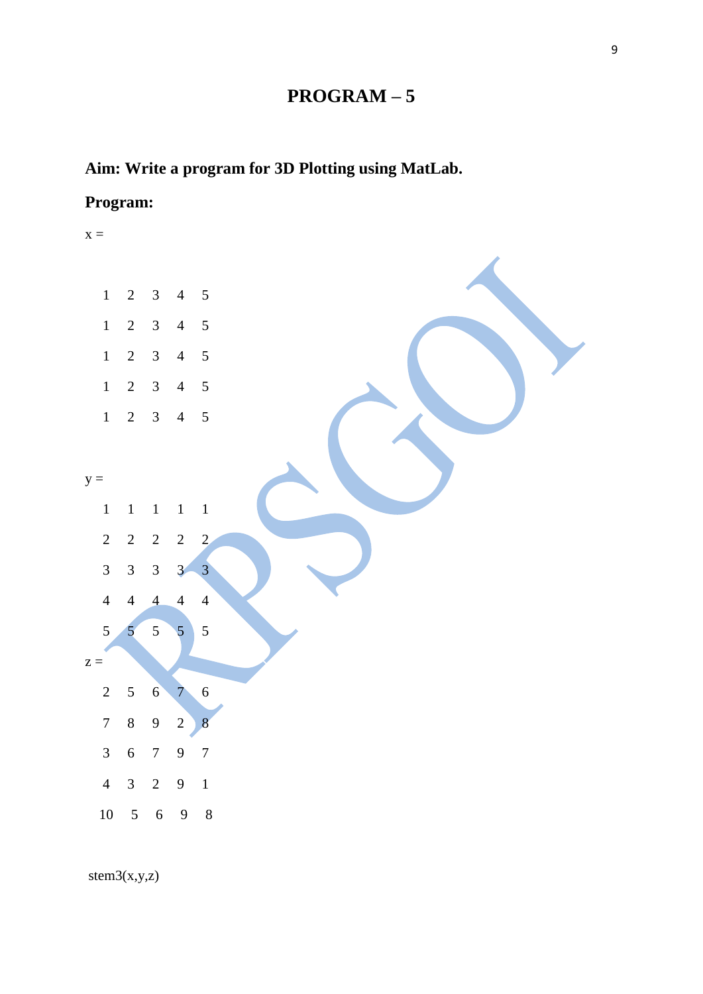## **PROGRAM – 5**

## **Aim: Write a program for 3D Plotting using MatLab.**

## **Program:**



stem3(x,y,z)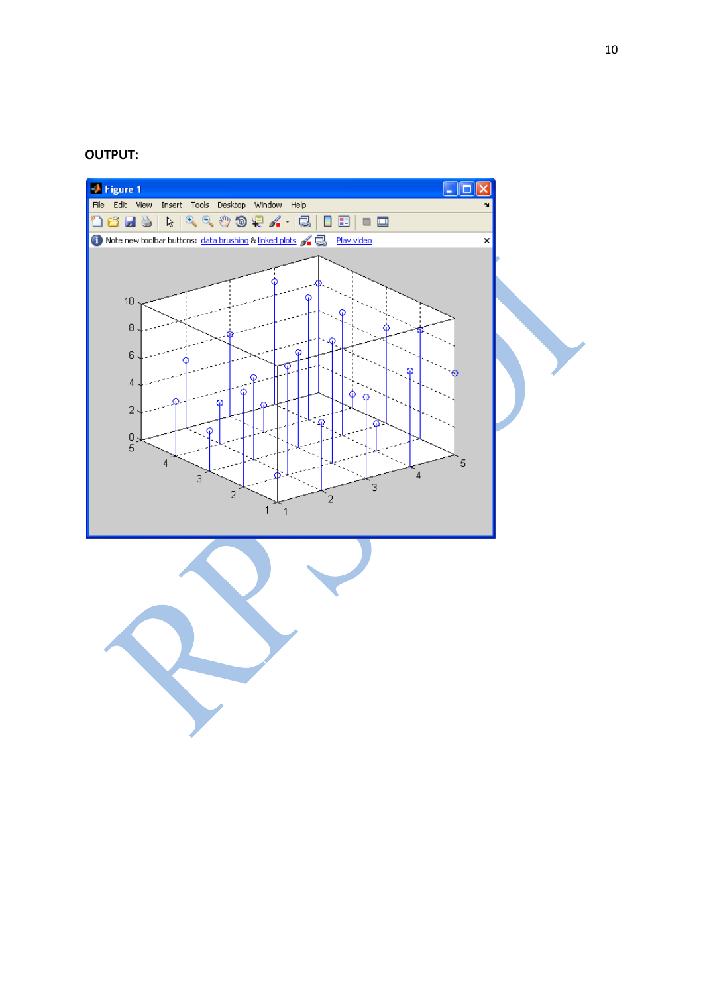

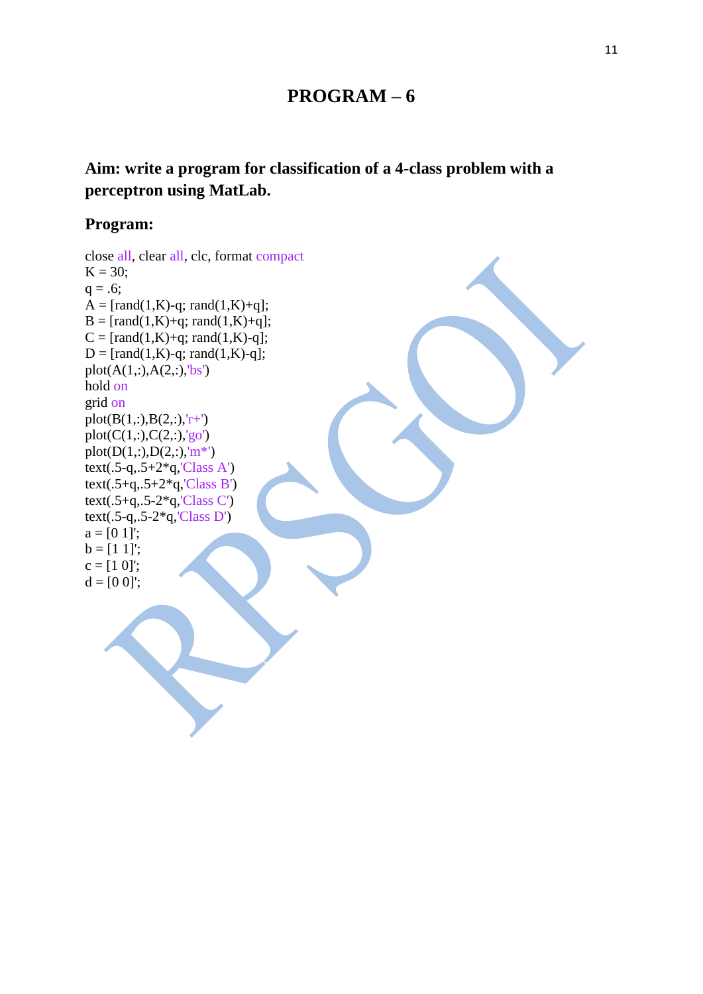## **PROGRAM – 6**

## **Aim: write a program for classification of a 4-class problem with a perceptron using MatLab.**

#### **Program:**

close all, clear all, clc, format compact  $K = 30;$  $q = .6;$  $A = [rand(1,K)-q; rand(1,K)+q];$  $B = [rand(1,K)+q; rand(1,K)+q];$  $C = [rand(1,K)+q; rand(1,K)-q];$  $D = [rand(1,K)-q; rand(1,K)-q];$  $plot(A(1, :), A(2, :), 'bs')$ hold on grid on  $plot(B(1,:),B(2,:),'r+')$  $plot(C(1, :), C(2, :), 'go')$ plot( $D(1,:), D(2,:), 'm^{*})$ text(.5-q,.5+2 $*$ q,'Class A') text(.5+q,.5+2 $*q$ ,'Class B') text(.5+q,.5-2\*q,'Class C') text(.5-q,.5-2\*q,'Class D')  $a = [0 1]$ ;  $b = [1 1]$ :  $c = [1 0]$ ;  $d = [0 0]$ ;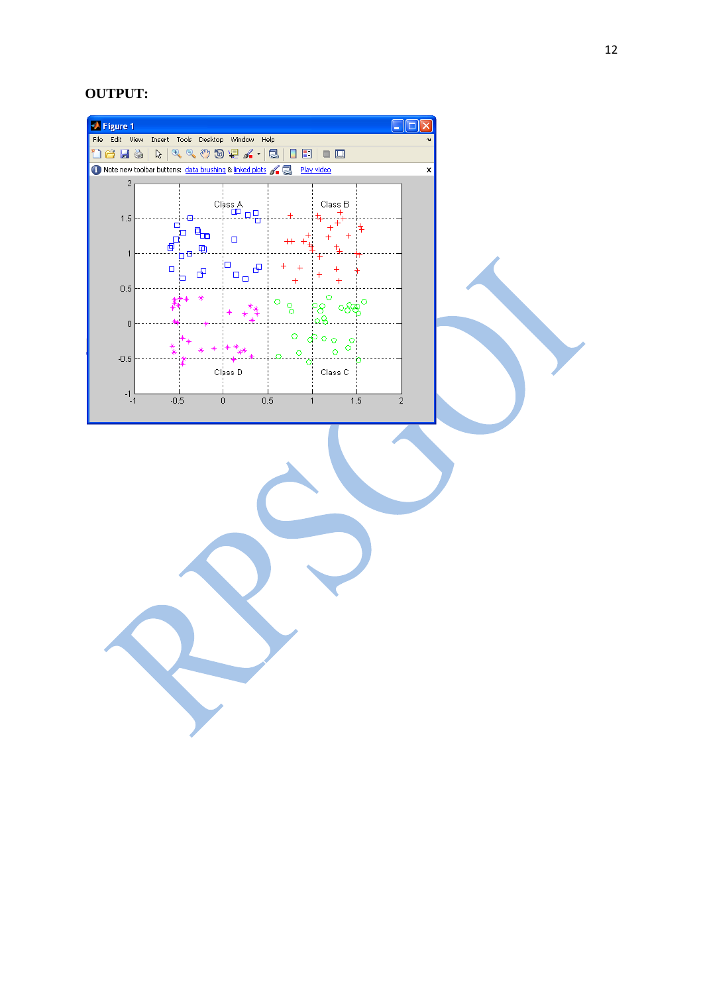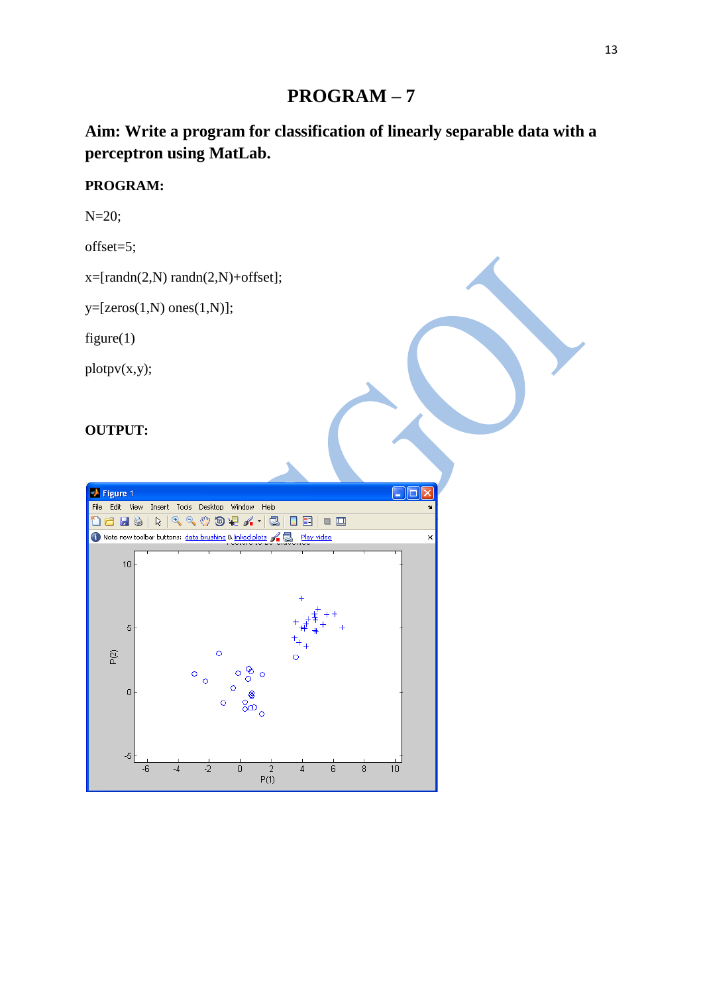## **PROGRAM – 7**

## **Aim: Write a program for classification of linearly separable data with a perceptron using MatLab.**

#### **PROGRAM:**

N=20;

offset=5;

 $x=[randn(2,N) randn(2,N)+offset];$ 

 $y=[zeros(1,N) ones(1,N)];$ 

figure $(1)$ 

 $plotpv(x,y);$ 

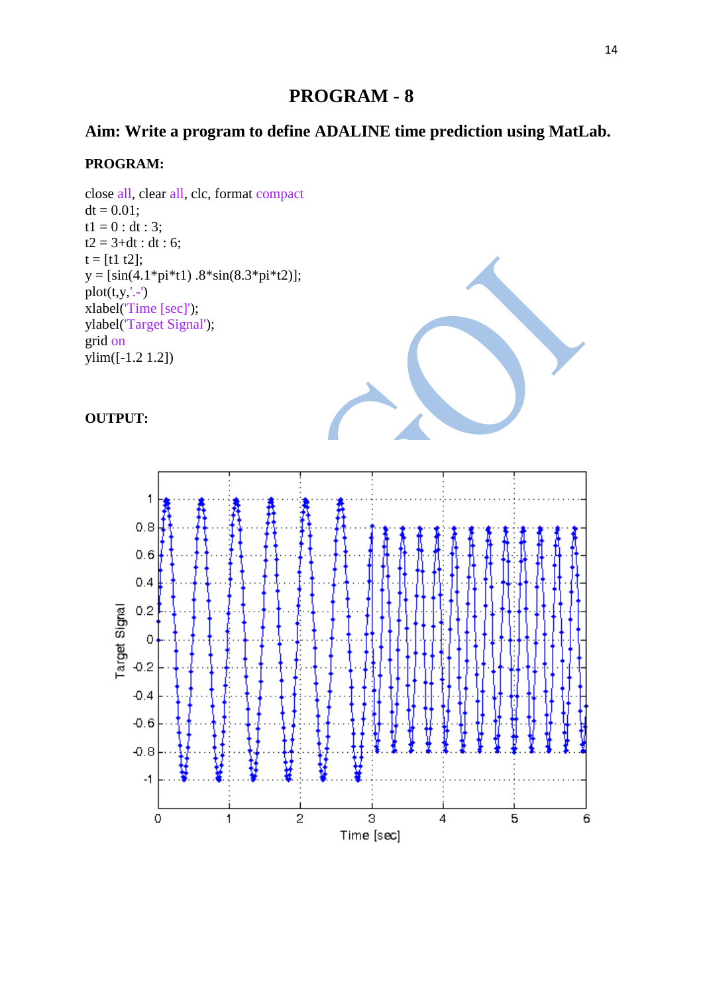## **Aim: Write a program to define ADALINE time prediction using MatLab.**

#### **PROGRAM:**

close all, clear all, clc, format compact  $dt = 0.01$ ;  $t1 = 0$  : dt : 3;  $t2 = 3 + dt$  : dt : 6;  $t = [t1 t2];$  $y = [sin(4.1*pi*t1) .8*sin(8.3*pi*t2)];$  $plot(t,y,'.-')$ xlabel('Time [sec]'); ylabel('Target Signal'); grid on  $ylim([-1.2 1.2])$ 



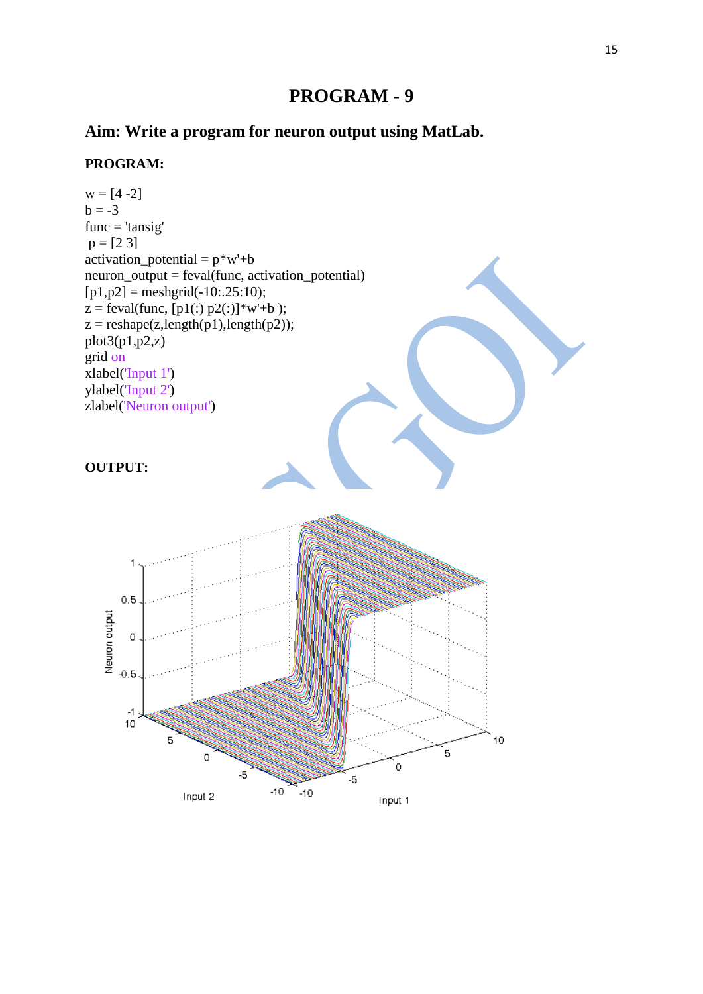## **Aim: Write a program for neuron output using MatLab.**

#### **PROGRAM:**